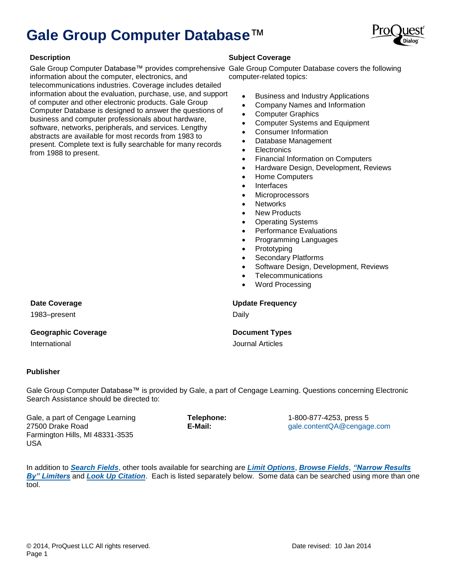# **Gale Group Computer Database**™



Gale Group Computer Database™ provides comprehensive Gale Group Computer Database covers the following information about the computer, electronics, and telecommunications industries. Coverage includes detailed information about the evaluation, purchase, use, and support of computer and other electronic products. Gale Group Computer Database is designed to answer the questions of business and computer professionals about hardware, software, networks, peripherals, and services. Lengthy abstracts are available for most records from 1983 to present. Complete text is fully searchable for many records from 1988 to present.

### **Description Subject Coverage**

computer-related topics:

- Business and Industry Applications
- Company Names and Information
- Computer Graphics
- Computer Systems and Equipment
- Consumer Information
- Database Management
- **Electronics**
- Financial Information on Computers
- **•** Hardware Design, Development, Reviews
- Home Computers
- Interfaces
- **Microprocessors**
- **Networks**
- New Products
- Operating Systems
- Performance Evaluations
- Programming Languages
- Prototyping
- Secondary Platforms
- Software Design, Development, Reviews
- **Telecommunications**
- Word Processing

# **Date Coverage Update Frequency**

International Journal Articles

1983–present Daily

# **Geographic Coverage**  Document Types

# **Publisher**

Gale Group Computer Database™ is provided by Gale, a part of Cengage Learning. Questions concerning Electronic Search Assistance should be directed to:

Gale, a part of Cengage Learning **Telephone:** 1-800-877-4253, press 5 27500 Drake Road **E-Mail:** [gale.contentQA@cengage.com](mailto:gale.contentQA@cengage.com) Farmington Hills, MI 48331-3535 USA

In addition to *[Search Fields](#page-1-0)*, other tools available for searching are *[Limit Options](#page-3-0)*, *[Browse Fields](#page-4-0)*, *["Narrow Results](#page-4-1)  [By" Limiters](#page-4-1)* and *[Look Up Citation](#page-4-2)*. Each is listed separately below. Some data can be searched using more than one tool.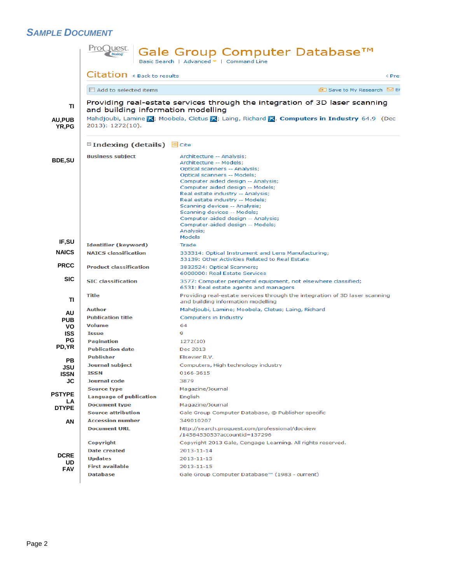# *SAMPLE DOCUMENT*

<span id="page-1-0"></span>

|                     |                                                                                                                                                                                                                                                                             | Basic Search   Advanced ▼   Command Line                                                                                                                                                                                                                                                                                                                                                                                      |       |  |  |
|---------------------|-----------------------------------------------------------------------------------------------------------------------------------------------------------------------------------------------------------------------------------------------------------------------------|-------------------------------------------------------------------------------------------------------------------------------------------------------------------------------------------------------------------------------------------------------------------------------------------------------------------------------------------------------------------------------------------------------------------------------|-------|--|--|
|                     | Citation « Back to results                                                                                                                                                                                                                                                  |                                                                                                                                                                                                                                                                                                                                                                                                                               | < Pre |  |  |
|                     | Add to selected items                                                                                                                                                                                                                                                       | <b>BED</b> Save to My Research En                                                                                                                                                                                                                                                                                                                                                                                             |       |  |  |
| ΤI<br><b>AU,PUB</b> | Providing real-estate services through the integration of 3D laser scanning<br>and building information modelling<br>Mahdjoubi, Lamine X; Moobela, Cletus X; Laing, Richard X. Computers in Industry 64.9 (Dec<br>2013): 1272(10).<br>$\Box$ Indexing (details) $\Box$ Cite |                                                                                                                                                                                                                                                                                                                                                                                                                               |       |  |  |
| YR, PG              |                                                                                                                                                                                                                                                                             |                                                                                                                                                                                                                                                                                                                                                                                                                               |       |  |  |
|                     |                                                                                                                                                                                                                                                                             |                                                                                                                                                                                                                                                                                                                                                                                                                               |       |  |  |
| <b>BDE,SU</b>       | <b>Business subject</b>                                                                                                                                                                                                                                                     | Architecture -- Analysis;<br>Architecture -- Models;<br>Optical scanners -- Analysis;<br>Optical scanners -- Models;<br>Computer aided design -- Analysis;<br>Computer aided design -- Models;<br>Real estate industry -- Analysis;<br>Real estate industry -- Models;<br>Scanning devices -- Analysis;<br>Scanning devices -- Models;<br>Computer-aided design -- Analysis;<br>Computer-aided design -- Models;<br>Analysis; |       |  |  |
| IF,SU               |                                                                                                                                                                                                                                                                             | Models                                                                                                                                                                                                                                                                                                                                                                                                                        |       |  |  |
|                     | <b>Identifier (keyword)</b>                                                                                                                                                                                                                                                 | Trade                                                                                                                                                                                                                                                                                                                                                                                                                         |       |  |  |
| <b>NAICS</b>        | <b>NAICS classification</b>                                                                                                                                                                                                                                                 | 333314: Optical Instrument and Lens Manufacturing:<br>53139: Other Activities Related to Real Estate                                                                                                                                                                                                                                                                                                                          |       |  |  |
| <b>PRCC</b>         | <b>Product classification</b>                                                                                                                                                                                                                                               | 3832524: Optical Scanners;<br>6008000: Real Estate Services                                                                                                                                                                                                                                                                                                                                                                   |       |  |  |
| <b>SIC</b>          | <b>SIC classification</b>                                                                                                                                                                                                                                                   | 3577: Computer peripheral equipment, not elsewhere classified;<br>6531: Real estate agents and managers                                                                                                                                                                                                                                                                                                                       |       |  |  |
| ΤI                  | <b>Title</b>                                                                                                                                                                                                                                                                | Providing real-estate services through the integration of 3D laser scanning<br>and building information modelling                                                                                                                                                                                                                                                                                                             |       |  |  |
|                     | <b>Author</b>                                                                                                                                                                                                                                                               | Mahdjoubi, Lamine; Moobela, Cletus; Laing, Richard                                                                                                                                                                                                                                                                                                                                                                            |       |  |  |
| AU<br><b>PUB</b>    | <b>Publication title</b>                                                                                                                                                                                                                                                    | Computers in Industry                                                                                                                                                                                                                                                                                                                                                                                                         |       |  |  |
| VO                  | <b>Volume</b>                                                                                                                                                                                                                                                               | 64                                                                                                                                                                                                                                                                                                                                                                                                                            |       |  |  |
| <b>ISS</b>          | <b>Issue</b>                                                                                                                                                                                                                                                                | 9                                                                                                                                                                                                                                                                                                                                                                                                                             |       |  |  |
| PG                  | <b>Pagination</b>                                                                                                                                                                                                                                                           | 1272(10)                                                                                                                                                                                                                                                                                                                                                                                                                      |       |  |  |
| PD, YR              | <b>Publication date</b>                                                                                                                                                                                                                                                     | Dec 2013                                                                                                                                                                                                                                                                                                                                                                                                                      |       |  |  |
| PВ                  | <b>Publisher</b>                                                                                                                                                                                                                                                            | Elsevier B.V.                                                                                                                                                                                                                                                                                                                                                                                                                 |       |  |  |
| JSU                 | Journal subject                                                                                                                                                                                                                                                             | Computers, High technology industry                                                                                                                                                                                                                                                                                                                                                                                           |       |  |  |
| <b>ISSN</b>         | ISSN                                                                                                                                                                                                                                                                        | 0166-3615                                                                                                                                                                                                                                                                                                                                                                                                                     |       |  |  |
| JC                  | <b>Journal code</b>                                                                                                                                                                                                                                                         | 3879                                                                                                                                                                                                                                                                                                                                                                                                                          |       |  |  |
|                     | Source type                                                                                                                                                                                                                                                                 | Magazine/Journal                                                                                                                                                                                                                                                                                                                                                                                                              |       |  |  |
| <b>PSTYPE</b><br>LA | <b>Language of publication</b>                                                                                                                                                                                                                                              | English                                                                                                                                                                                                                                                                                                                                                                                                                       |       |  |  |
| <b>DTYPE</b>        | <b>Document type</b>                                                                                                                                                                                                                                                        | Magazine/Journal                                                                                                                                                                                                                                                                                                                                                                                                              |       |  |  |
|                     | <b>Source attribution</b>                                                                                                                                                                                                                                                   | Gale Group Computer Database, © Publisher specific                                                                                                                                                                                                                                                                                                                                                                            |       |  |  |
| ΑN<br><b>DCRE</b>   | <b>Accession number</b>                                                                                                                                                                                                                                                     | 349010207                                                                                                                                                                                                                                                                                                                                                                                                                     |       |  |  |
|                     | <b>Document URL</b>                                                                                                                                                                                                                                                         | http://search.proquest.com/professional/docview<br>/1458453053?accountid=137296                                                                                                                                                                                                                                                                                                                                               |       |  |  |
|                     | <b>Copyright</b>                                                                                                                                                                                                                                                            | Copyright 2013 Gale, Cengage Learning. All rights reserved.                                                                                                                                                                                                                                                                                                                                                                   |       |  |  |
|                     | <b>Date created</b>                                                                                                                                                                                                                                                         | 2013-11-14                                                                                                                                                                                                                                                                                                                                                                                                                    |       |  |  |
|                     | <b>Updates</b>                                                                                                                                                                                                                                                              | 2013-11-15                                                                                                                                                                                                                                                                                                                                                                                                                    |       |  |  |
| UD.<br><b>FAV</b>   | <b>First available</b>                                                                                                                                                                                                                                                      | 2013-11-15                                                                                                                                                                                                                                                                                                                                                                                                                    |       |  |  |
|                     | Database                                                                                                                                                                                                                                                                    | Gale Group Computer Database™ (1983 - current)                                                                                                                                                                                                                                                                                                                                                                                |       |  |  |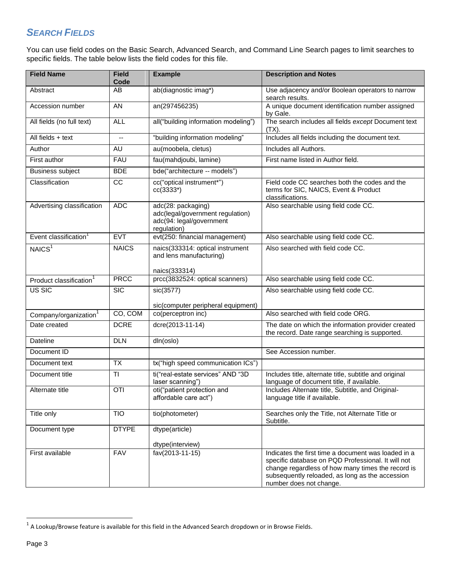# *SEARCH FIELDS*

You can use field codes on the Basic Search, Advanced Search, and Command Line Search pages to limit searches to specific fields. The table below lists the field codes for this file.

| <b>Field Name</b>                                 | <b>Field</b><br>Code     | <b>Example</b>                                                                                    | <b>Description and Notes</b>                                                                                                                                                                                                                 |
|---------------------------------------------------|--------------------------|---------------------------------------------------------------------------------------------------|----------------------------------------------------------------------------------------------------------------------------------------------------------------------------------------------------------------------------------------------|
| Abstract                                          | AB                       | ab(diagnostic imag*)                                                                              | Use adjacency and/or Boolean operators to narrow<br>search results.                                                                                                                                                                          |
| Accession number                                  | AN                       | an(297456235)                                                                                     | A unique document identification number assigned<br>by Gale.                                                                                                                                                                                 |
| All fields (no full text)                         | <b>ALL</b>               | all("building information modeling")                                                              | The search includes all fields except Document text<br>(TX).                                                                                                                                                                                 |
| All fields + text                                 | $\overline{\phantom{a}}$ | "building information modeling"                                                                   | Includes all fields including the document text.                                                                                                                                                                                             |
| Author                                            | AU                       | au(moobela, cletus)                                                                               | Includes all Authors.                                                                                                                                                                                                                        |
| First author                                      | <b>FAU</b>               | fau(mahdjoubi, lamine)                                                                            | First name listed in Author field.                                                                                                                                                                                                           |
| <b>Business subject</b>                           | <b>BDE</b>               | bde("architecture -- models")                                                                     |                                                                                                                                                                                                                                              |
| Classification                                    | CC                       | cc("optical instrument*")<br>$cc(3333*)$                                                          | Field code CC searches both the codes and the<br>terms for SIC, NAICS, Event & Product<br>classifications.                                                                                                                                   |
| Advertising classification                        | $AD\overline{C}$         | adc(28: packaging)<br>adc(legal/government regulation)<br>adc(94: legal/government<br>regulation) | Also searchable using field code CC.                                                                                                                                                                                                         |
| Event classification <sup>1</sup>                 | <b>EVT</b>               | evt(250: financial management)                                                                    | Also searchable using field code CC.                                                                                                                                                                                                         |
| NAICS <sup>1</sup>                                | <b>NAICS</b>             | naics(333314: optical instrument<br>and lens manufacturing)                                       | Also searched with field code CC.                                                                                                                                                                                                            |
| Product classification <sup>1</sup>               | <b>PRCC</b>              | naics(333314)<br>prcc(3832524: optical scanners)                                                  | Also searchable using field code CC.                                                                                                                                                                                                         |
| US SIC                                            | $\overline{\text{SIC}}$  | sic(3577)                                                                                         | Also searchable using field code CC.                                                                                                                                                                                                         |
|                                                   |                          |                                                                                                   |                                                                                                                                                                                                                                              |
|                                                   | CO, COM                  | sic(computer peripheral equipment)<br>co(perceptron inc)                                          | Also searched with field code ORG.                                                                                                                                                                                                           |
| Company/organization <sup>1</sup><br>Date created | <b>DCRE</b>              | dcre(2013-11-14)                                                                                  | The date on which the information provider created                                                                                                                                                                                           |
|                                                   |                          |                                                                                                   | the record. Date range searching is supported.                                                                                                                                                                                               |
| Dateline                                          | <b>DLN</b>               | dln(oslo)                                                                                         |                                                                                                                                                                                                                                              |
| Document ID                                       |                          |                                                                                                   | See Accession number.                                                                                                                                                                                                                        |
| Document text                                     | TX                       | tx("high speed communication ICs")                                                                |                                                                                                                                                                                                                                              |
| Document title                                    | <b>TI</b>                | ti("real-estate services" AND "3D<br>laser scanning")                                             | Includes title, alternate title, subtitle and original<br>language of document title, if available.                                                                                                                                          |
| Alternate title                                   | OTI                      | oti("patient protection and<br>affordable care act")                                              | Includes Alternate title, Subtitle, and Original-<br>language title if available.                                                                                                                                                            |
| Title only                                        | $\overline{110}$         | tio(photometer)                                                                                   | Searches only the Title, not Alternate Title or<br>Subtitle.                                                                                                                                                                                 |
| Document type                                     | <b>DTYPE</b>             | dtype(article)                                                                                    |                                                                                                                                                                                                                                              |
|                                                   |                          | dtype(interview)                                                                                  |                                                                                                                                                                                                                                              |
| First available                                   | <b>FAV</b>               | fav(2013-11-15)                                                                                   | Indicates the first time a document was loaded in a<br>specific database on PQD Professional. It will not<br>change regardless of how many times the record is<br>subsequently reloaded, as long as the accession<br>number does not change. |

 1 A Lookup/Browse feature is available for this field in the Advanced Search dropdown or in Browse Fields.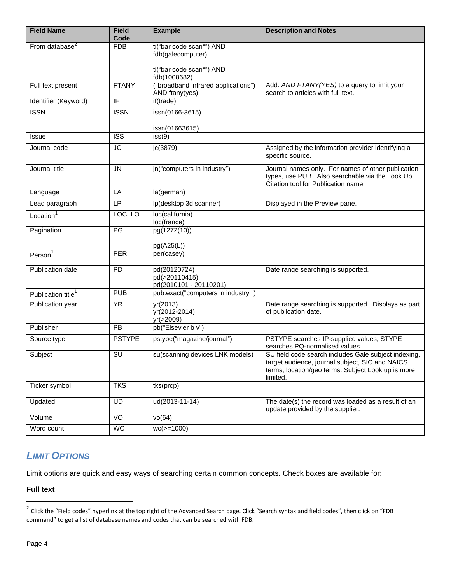| <b>Field Name</b>              | <b>Field</b><br>Code | <b>Example</b>                                          | <b>Description and Notes</b>                                                                                                                                              |
|--------------------------------|----------------------|---------------------------------------------------------|---------------------------------------------------------------------------------------------------------------------------------------------------------------------------|
| From database <sup>2</sup>     | <b>FDB</b>           | ti("bar code scan*") AND<br>fdb(galecomputer)           |                                                                                                                                                                           |
|                                |                      | ti("bar code scan*") AND<br>fdb(1008682)                |                                                                                                                                                                           |
| Full text present              | <b>FTANY</b>         | ("broadband infrared applications")<br>AND ftany(yes)   | Add: AND FTANY(YES) to a query to limit your<br>search to articles with full text.                                                                                        |
| Identifier (Keyword)           | IF                   | if(trade)                                               |                                                                                                                                                                           |
| <b>ISSN</b>                    | <b>ISSN</b>          | issn(0166-3615)<br>issn(01663615)                       |                                                                                                                                                                           |
| <b>Issue</b>                   | <b>ISS</b>           | iss(9)                                                  |                                                                                                                                                                           |
| Journal code                   | <b>JC</b>            | jc(3879)                                                | Assigned by the information provider identifying a<br>specific source.                                                                                                    |
| Journal title                  | <b>JN</b>            | jn("computers in industry")                             | Journal names only. For names of other publication<br>types, use PUB. Also searchable via the Look Up<br>Citation tool for Publication name.                              |
| Language                       | LA                   | la(german)                                              |                                                                                                                                                                           |
| Lead paragraph                 | <b>LP</b>            | lp(desktop 3d scanner)                                  | Displayed in the Preview pane.                                                                                                                                            |
| Location <sup>1</sup>          | LOC, LO              | loc(california)<br>loc(france)                          |                                                                                                                                                                           |
| Pagination                     | PG                   | pg(1272(10))<br>pg(A25(L))                              |                                                                                                                                                                           |
| Person <sup>1</sup>            | <b>PER</b>           | per(casey)                                              |                                                                                                                                                                           |
| Publication date               | PD                   | pd(20120724)<br>pd(>20110415)<br>pd(2010101 - 20110201) | Date range searching is supported.                                                                                                                                        |
| Publication title <sup>1</sup> | <b>PUB</b>           | pub.exact("computers in industry")                      |                                                                                                                                                                           |
| Publication year               | <b>YR</b>            | yr(2013)<br>yr(2012-2014)<br>yr(>2009)                  | Date range searching is supported. Displays as part<br>of publication date.                                                                                               |
| Publisher                      | <b>PB</b>            | pb("Elsevier b v")                                      |                                                                                                                                                                           |
| Source type                    | <b>PSTYPE</b>        | pstype("magazine/journal")                              | PSTYPE searches IP-supplied values; STYPE<br>searches PQ-normalised values.                                                                                               |
| Subject                        | <b>SU</b>            | su(scanning devices LNK models)                         | SU field code search includes Gale subject indexing.<br>target audience, journal subject, SIC and NAICS<br>terms, location/geo terms. Subject Look up is more<br>limited. |
| Ticker symbol                  | <b>TKS</b>           | tks(prcp)                                               |                                                                                                                                                                           |
| Updated                        | <b>UD</b>            | ud(2013-11-14)                                          | The date(s) the record was loaded as a result of an<br>update provided by the supplier.                                                                                   |
| Volume                         | VO                   | vo(64)                                                  |                                                                                                                                                                           |
| Word count                     | WC                   | $wc(>=1000)$                                            |                                                                                                                                                                           |

# <span id="page-3-0"></span>*LIMIT OPTIONS*

Limit options are quick and easy ways of searching certain common concepts*.* Check boxes are available for:

# **Full text**

 2 Click the "Field codes" hyperlink at the top right of the Advanced Search page. Click "Search syntax and field codes", then click on "FDB command" to get a list of database names and codes that can be searched with FDB.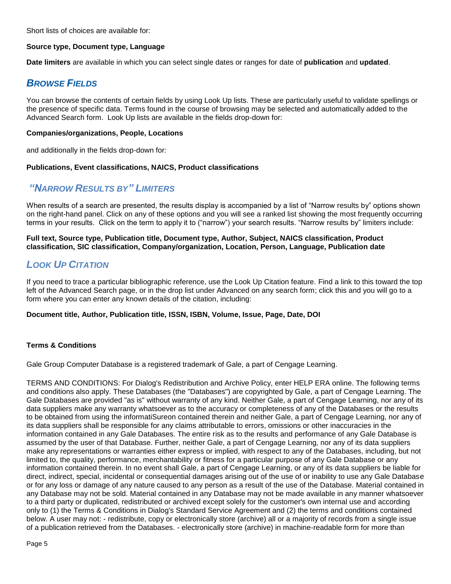Short lists of choices are available for:

### **Source type, Document type, Language**

**Date limiters** are available in which you can select single dates or ranges for date of **publication** and **updated**.

# <span id="page-4-0"></span>*B[ROWSE](#page-4-0) FIELDS*

You can browse the contents of certain fields by using Look Up lists. These are particularly useful to validate spellings or the presence of specific data. Terms found in the course of browsing may be selected and automatically added to the Advanced Search form. Look Up lists are available in the fields drop-down for:

### <span id="page-4-1"></span>**Companies/organizations, People, Locations**

and additionally in the fields drop-down for:

#### **Publications, Event classifications, NAICS, Product classifications**

# *"NARROW RESULTS BY" LIMITERS*

When results of a search are presented, the results display is accompanied by a list of "Narrow results by" options shown on the right-hand panel. Click on any of these options and you will see a ranked list showing the most frequently occurring terms in your results. Click on the term to apply it to ("narrow") your search results. "Narrow results by" limiters include:

### <span id="page-4-2"></span>**Full text, Source type, Publication title, Document type, Author, Subject, NAICS classification, Product classification, SIC classification, Company/organization, Location, Person, Language, Publication date**

# *LOOK UP CITATION*

If you need to trace a particular bibliographic reference, use the Look Up Citation feature. Find a link to this toward the top left of the Advanced Search page, or in the drop list under Advanced on any search form; click this and you will go to a form where you can enter any known details of the citation, including:

#### **Document title, Author, Publication title, ISSN, ISBN, Volume, Issue, Page, Date, DOI**

# **Terms & Conditions**

Gale Group Computer Database is a registered trademark of Gale, a part of Cengage Learning.

TERMS AND CONDITIONS: For Dialog's Redistribution and Archive Policy, enter HELP ERA online. The following terms and conditions also apply. These Databases (the "Databases") are copyrighted by Gale, a part of Cengage Learning. The Gale Databases are provided "as is" without warranty of any kind. Neither Gale, a part of Cengage Learning, nor any of its data suppliers make any warranty whatsoever as to the accuracy or completeness of any of the Databases or the results to be obtained from using the informatiSureon contained therein and neither Gale, a part of Cengage Learning, nor any of its data suppliers shall be responsible for any claims attributable to errors, omissions or other inaccuracies in the information contained in any Gale Databases. The entire risk as to the results and performance of any Gale Database is assumed by the user of that Database. Further, neither Gale, a part of Cengage Learning, nor any of its data suppliers make any representations or warranties either express or implied, with respect to any of the Databases, including, but not limited to, the quality, performance, merchantability or fitness for a particular purpose of any Gale Database or any information contained therein. In no event shall Gale, a part of Cengage Learning, or any of its data suppliers be liable for direct, indirect, special, incidental or consequential damages arising out of the use of or inability to use any Gale Database or for any loss or damage of any nature caused to any person as a result of the use of the Database. Material contained in any Database may not be sold. Material contained in any Database may not be made available in any manner whatsoever to a third party or duplicated, redistributed or archived except solely for the customer's own internal use and according only to (1) the Terms & Conditions in Dialog's Standard Service Agreement and (2) the terms and conditions contained below. A user may not: - redistribute, copy or electronically store (archive) all or a majority of records from a single issue of a publication retrieved from the Databases. - electronically store (archive) in machine-readable form for more than